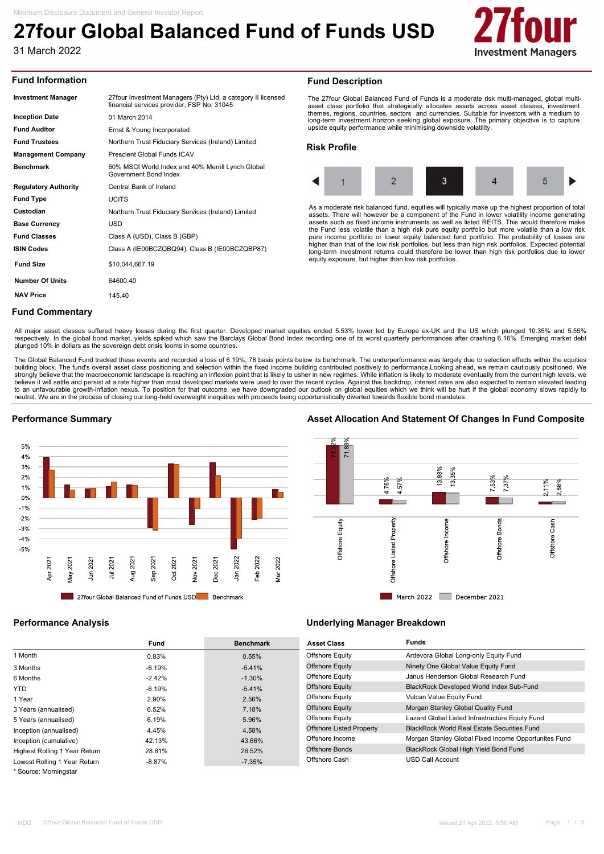# **27four Global Balanced Fund of Funds USD**

31 March 2022



### **Fund Information**

| <b>Investment Manager</b>   | 27 four Investment Managers (Pty) Ltd, a category II licensed<br>financial services provider, FSP No: 31045 |
|-----------------------------|-------------------------------------------------------------------------------------------------------------|
| <b>Inception Date</b>       | 01 March 2014                                                                                               |
| <b>Fund Auditor</b>         | Ernst & Young Incorporated                                                                                  |
| <b>Fund Trustees</b>        | Northern Trust Fiduciary Services (Ireland) Limited                                                         |
| <b>Management Company</b>   | Prescient Global Funds ICAV                                                                                 |
| <b>Benchmark</b>            | 60% MSCI World Index and 40% Merrill Lynch Global<br>Government Bond Index                                  |
| <b>Regulatory Authority</b> | Central Bank of Ireland                                                                                     |
| <b>Fund Type</b>            | <b>UCITS</b>                                                                                                |
| Custodian                   | Northern Trust Fiduciary Services (Ireland) Limited                                                         |
| <b>Base Currency</b>        | USD                                                                                                         |
| <b>Fund Classes</b>         | Class A (USD), Class B (GBP)                                                                                |
| <b>ISIN Codes</b>           | Class A (IE00BCZQBQ94), Class B (IE00BCZQBP87)                                                              |
| <b>Fund Size</b>            | \$10,044,667.19                                                                                             |
| <b>Number Of Units</b>      | 64600.40                                                                                                    |
| <b>NAV Price</b>            | 145.40                                                                                                      |
|                             |                                                                                                             |

#### **Fund Description**

The 27four Global Balanced Fund of Funds is a moderate risk multi-managed, global multi-asset class portfolio that strategically allocates assets across asset classes, investment themes, regions, countries, sectors and currencies. Suitable for investors with a medium to long-term investment horizon seeking global exposure. The primary objective is to capture upside equity performance while minimising downside volatility.

#### **Risk Profile**



As a moderate risk balanced fund, equities will typically make up the highest proportion of total assets. There will however be a component of the Fund in lower volatility income generating assets such as fixed income instruments as well as listed REITS. This would therefore make the Fund less volatile than a high risk pure equity portfolio but more volatile than a low risk<br>pure income portfolio or lower equity balanced fund portfolio. The probability of losses are<br>higher than that of the low risk long-term investment returns could therefore be lower than high risk portfolios due to lower equity exposure, but higher than low risk portfolios.

### **Fund Commentary**

All major asset classes suffered heavy losses during the first quarter. Developed market equities ended 5.53% lower led by Europe ex-UK and the US which plunged 10.35% and 5.55% respectively. In the global bond market, yields spiked which saw the Barclays Global Bond Index recording one of its worst quarterly performances after crashing 6.16%. Emerging market debt<br>plunged 10% in dollars as the sov

The Global Balanced Fund tracked these events and recorded a loss of 6.19%, 78 basis points below its benchmark. The underperformance was largely due to selection effects within the equities<br>buiding block. The fund's overa believe it will settle and persist at a rate higher than most developed markets were used to over the recent cycles. Against this backdrop, interest rates are also expected to remain elevated leading to an unfavourable growth-inflation nexus. To position for that outcome, we have downgraded our outlook on global equities which we think will be hurt if the global economy slows rapidly to<br>neutral. We are in the process o



## **Performance Summary Asset Allocation And Statement Of Changes In Fund Composite**



|                               | Fund     | <b>Benchmark</b> |
|-------------------------------|----------|------------------|
| 1 Month                       | 0.83%    | 0.55%            |
| 3 Months                      | $-6.19%$ | $-5.41%$         |
| 6 Months                      | $-2.42%$ | $-1.30%$         |
| <b>YTD</b>                    | $-6.19%$ | $-5.41%$         |
| 1 Year                        | 2.90%    | 2.56%            |
| 3 Years (annualised)          | 6.52%    | 7.18%            |
| 5 Years (annualised)          | 6.19%    | 5.96%            |
| Inception (annualised)        | 4.45%    | 4.58%            |
| Inception (cumulative)        | 42.13%   | 43.66%           |
| Highest Rolling 1 Year Return | 28.81%   | 26.52%           |
| Lowest Rolling 1 Year Return  | $-8.87%$ | $-7.35%$         |

\* Source: Morningstar

### **Performance Analysis Underlying Manager Breakdown**

| <b>Asset Class</b>              | <b>Funds</b>                                         |
|---------------------------------|------------------------------------------------------|
| <b>Offshore Equity</b>          | Ardevora Global Long-only Equity Fund                |
| <b>Offshore Equity</b>          | Ninety One Global Value Equity Fund                  |
| Offshore Equity                 | Janus Henderson Global Research Fund                 |
| <b>Offshore Equity</b>          | <b>BlackRock Developed World Index Sub-Fund</b>      |
| <b>Offshore Equity</b>          | Vulcan Value Equity Fund                             |
| <b>Offshore Equity</b>          | Morgan Stanley Global Quality Fund                   |
| <b>Offshore Equity</b>          | Lazard Global Listed Infrastructure Equity Fund      |
| <b>Offshore Listed Property</b> | <b>BlackRock World Real Estate Securities Fund</b>   |
| Offshore Income                 | Morgan Stanley Global Fixed Income Opportunites Fund |
| Offshore Bonds                  | BlackRock Global High Yield Bond Fund                |
| Offshore Cash                   | USD Call Account                                     |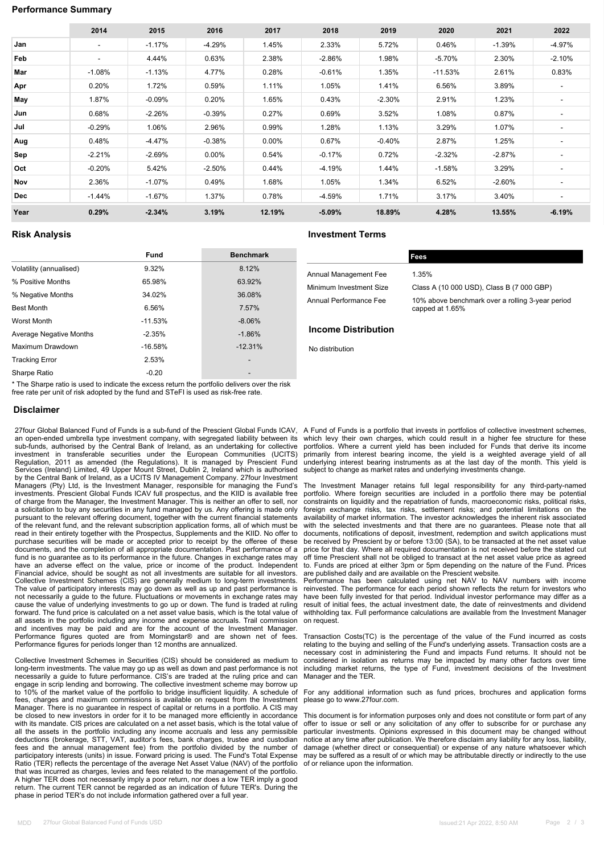### **Performance Summary**

|            | 2014                     | 2015      | 2016     | 2017     | 2018     | 2019     | 2020      | 2021      | 2022                     |
|------------|--------------------------|-----------|----------|----------|----------|----------|-----------|-----------|--------------------------|
| Jan        | $\overline{\phantom{a}}$ | $-1.17%$  | $-4.29%$ | 1.45%    | 2.33%    | 5.72%    | 0.46%     | $-1.39%$  | $-4.97%$                 |
| Feb        | $\overline{\phantom{a}}$ | 4.44%     | 0.63%    | 2.38%    | $-2.86%$ | 1.98%    | $-5.70%$  | 2.30%     | $-2.10%$                 |
| Mar        | $-1.08%$                 | $-1.13%$  | 4.77%    | 0.28%    | $-0.61%$ | 1.35%    | $-11.53%$ | 2.61%     | 0.83%                    |
| Apr        | 0.20%                    | 1.72%     | 0.59%    | 1.11%    | 1.05%    | 1.41%    | 6.56%     | 3.89%     | $\overline{\phantom{a}}$ |
| May        | 1.87%                    | $-0.09%$  | 0.20%    | 1.65%    | 0.43%    | $-2.30%$ | 2.91%     | 1.23%     | ٠                        |
| Jun        | 0.68%                    | $-2.26%$  | $-0.39%$ | 0.27%    | 0.69%    | 3.52%    | 1.08%     | 0.87%     | ٠                        |
| Jul        | $-0.29%$                 | 1.06%     | 2.96%    | 0.99%    | 1.28%    | 1.13%    | 3.29%     | 1.07%     | ٠                        |
| Aug        | 0.48%                    | -4.47%    | $-0.38%$ | $0.00\%$ | 0.67%    | $-0.40%$ | 2.87%     | 1.25%     | ۰                        |
| Sep        | $-2.21%$                 | $-2.69%$  | $0.00\%$ | 0.54%    | $-0.17%$ | 0.72%    | $-2.32%$  | $-2.87%$  |                          |
| Oct        | $-0.20%$                 | 5.42%     | $-2.50%$ | 0.44%    | -4.19%   | 1.44%    | $-1.58%$  | 3.29%     | ٠                        |
| Nov        | 2.36%                    | $-1.07\%$ | 0.49%    | 1.68%    | 1.05%    | 1.34%    | 6.52%     | $-2.60\%$ | ٠                        |
| <b>Dec</b> | $-1.44%$                 | $-1.67%$  | 1.37%    | 0.78%    | -4.59%   | 1.71%    | 3.17%     | 3.40%     | ٠                        |
| Year       | 0.29%                    | $-2.34%$  | 3.19%    | 12.19%   | $-5.09%$ | 18.89%   | 4.28%     | 13.55%    | $-6.19%$                 |

|                         | <b>Fund</b> | <b>Benchmark</b> |
|-------------------------|-------------|------------------|
| Volatility (annualised) | 9.32%       | 8.12%            |
| % Positive Months       | 65.98%      | 63.92%           |
| % Negative Months       | 34.02%      | 36.08%           |
| <b>Best Month</b>       | 6.56%       | 7.57%            |
| Worst Month             | $-11.53%$   | $-8.06%$         |
| Average Negative Months | $-2.35%$    | $-1.86%$         |
| Maximum Drawdown        | $-16.58%$   | $-12.31%$        |
| <b>Tracking Error</b>   | 2.53%       |                  |
| Sharpe Ratio            | $-0.20$     |                  |

**Risk Analysis Investment Terms**

| Annual Management Fee   | 1.35%    |
|-------------------------|----------|
| Minimum Investment Size | Class    |
| Annual Performance Fee  | $10\%$ a |

**Fees**

| Annual Management Fee   | 1.35%                                                               |
|-------------------------|---------------------------------------------------------------------|
| Minimum Investment Size | Class A (10 000 USD), Class B (7 000 GBP)                           |
| Annual Performance Fee  | 10% above benchmark over a rolling 3-year period<br>capped at 1.65% |

#### **Income Distribution**

No distribution

\* The Sharpe ratio is used to indicate the excess return the portfolio delivers over the risk free rate per unit of risk adopted by the fund and STeFI is used as risk-free rate.

#### **Disclaimer**

27four Global Balanced Fund of Funds is a sub-fund of the Prescient Global Funds ICAV, A Fund of Funds is a portfolio that invests in portfolios of collective investment schemes, an open-ended umbrella type investment company, with segregated liability between its sub-funds, authorised by the Central Bank of Ireland, as an undertaking for collective investment in transferable securities under the European Communities (UCITS) Regulation, 2011 as amended (the Regulations). It is managed by Prescient Fund Services (Ireland) Limited, 49 Upper Mount Street, Dublin 2, Ireland which is authorised by the Central Bank of Ireland, as a UCITS IV Management Company. 27four Investment Managers (Pty) Ltd, is the Investment Manager, responsible for managing the Fund's investments. Prescient Global Funds ICAV full prospectus, and the KIID is available free of charge from the Manager, the Investment Manager. This is neither an offer to sell, nor a solicitation to buy any securities in any fund managed by us. Any offering is made only pursuant to the relevant offering document, together with the current financial statements of the relevant fund, and the relevant subscription application forms, all of which must be read in their entirety together with the Prospectus, Supplements and the KIID. No offer to purchase securities will be made or accepted prior to receipt by the offeree of these documents, and the completion of all appropriate documentation. Past performance of a fund is no guarantee as to its performance in the future. Changes in exchange rates may have an adverse effect on the value, price or income of the product. Independent<br>Financial advice, should be sought as not all investments are suitable for all investors.<br>Collective Investment Schemes (CIS) are generally m The value of participatory interests may go down as well as up and past performance is not necessarily a guide to the future. Fluctuations or movements in exchange rates may cause the value of underlying investments to go up or down. The fund is traded at ruling forward. The fund price is calculated on a net asset value basis, which is the total value of all assets in the portfolio including any income and expense accruals. Trail commission and incentives may be paid and are for the account of the Investment Manager. Performance figures quoted are from Morningstar® and are shown net of fees. Performance figures for periods longer than 12 months are annualized.

Collective Investment Schemes in Securities (CIS) should be considered as medium to long-term investments. The value may go up as well as down and past performance is not necessarily a guide to future performance. CIS's are traded at the ruling price and can engage in scrip lending and borrowing. The collective investment scheme may borrow up to 10% of the market value of the portfolio to bridge insufficient liquidity. A schedule of fees, charges and maximum commissions is available on request from the Investment Manager. There is no guarantee in respect of capital or returns in a portfolio. A CIS may be closed to new investors in order for it to be managed more efficiently in accordance with its mandate. CIS prices are calculated on a net asset basis, which is the total value of all the assets in the portfolio including any income accruals and less any permissible deductions (brokerage, STT, VAT, auditor's fees, bank charges, trustee and custodian fees and the annual management fee) from the portfolio divided by the number of<br>participatory interests (units) in issue. Forward pricing is used. The Fund's Total Expense<br>Ratio (TER) reflects the percentage o that was incurred as charges, levies and fees related to the management of the portfolio. A higher TER does not necessarily imply a poor return, nor does a low TER imply a good return. The current TER cannot be regarded as an indication of future TER's. During the phase in period TER's do not include information gathered over a full year.

which levy their own charges, which could result in a higher fee structure for these portfolios. Where a current yield has been included for Funds that derive its income primarily from interest bearing income, the yield is a weighted average yield of all underlying interest bearing instruments as at the last day of the month. This yield is subject to change as market rates and underlying investments change.

The Investment Manager retains full legal responsibility for any third-party-named portfolio. Where foreign securities are included in a portfolio there may be potential constraints on liquidity and the repatriation of funds, macroeconomic risks, political risks, foreign exchange risks, tax risks, settlement risks; and potential limitations on the availability of market information. The investor acknowledges the inherent risk associated with the selected investments and that there are no guarantees. Please note that all documents, notifications of deposit, investment, redemption and switch applications must be received by Prescient by or before 13:00 (SA), to be transacted at the net asset value price for that day. Where all required documentation is not received before the stated cut off time Prescient shall not be obliged to transact at the net asset value price as agreed to. Funds are priced at either 3pm or 5pm depending on the nature of the Fund. Prices are published daily and are available on the Prescient website.

Performance has been calculated using net NAV to NAV numbers with income reinvested. The performance for each period shown reflects the return for investors who have been fully invested for that period. Individual investor performance may differ as a result of initial fees, the actual investment date, the date of reinvestments and dividend withholding tax. Full performance calculations are available from the Investment Manager on request.

Transaction Costs(TC) is the percentage of the value of the Fund incurred as costs relating to the buying and selling of the Fund's underlying assets. Transaction costs are a necessary cost in administering the Fund and impacts Fund returns. It should not be considered in isolation as returns may be impacted by many other factors over time including market returns, the type of Fund, investment decisions of the Investment Manager and the TER.

For any additional information such as fund prices, brochures and application forms please go to www.27four.com.

This document is for information purposes only and does not constitute or form part of any<br>offer to issue or sell or any solicitation of any offer to subscribe for or purchase any<br>particular investments. Opinions expressed notice at any time after publication. We therefore disclaim any liability for any loss, liability, damage (whether direct or consequential) or expense of any nature whatsoever which may be suffered as a result of or which may be attributable directly or indirectly to the use of or reliance upon the information.